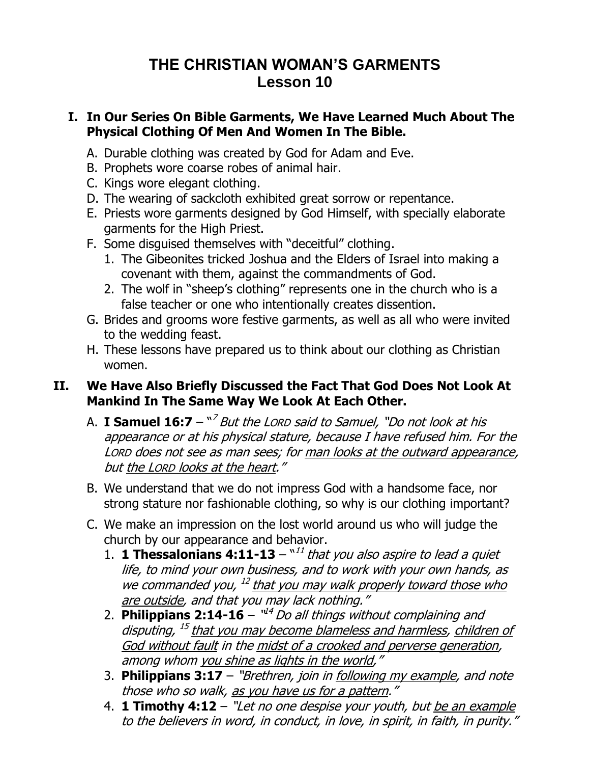# **THE CHRISTIAN WOMAN'S GARMENTS Lesson 10**

#### **I. In Our Series On Bible Garments, We Have Learned Much About The Physical Clothing Of Men And Women In The Bible.**

- A. Durable clothing was created by God for Adam and Eve.
- B. Prophets wore coarse robes of animal hair.
- C. Kings wore elegant clothing.
- D. The wearing of sackcloth exhibited great sorrow or repentance.
- E. Priests wore garments designed by God Himself, with specially elaborate garments for the High Priest.
- F. Some disguised themselves with "deceitful" clothing.
	- 1. The Gibeonites tricked Joshua and the Elders of Israel into making a covenant with them, against the commandments of God.
	- 2. The wolf in "sheep's clothing" represents one in the church who is a false teacher or one who intentionally creates dissention.
- G. Brides and grooms wore festive garments, as well as all who were invited to the wedding feast.
- H. These lessons have prepared us to think about our clothing as Christian women.

### **II. We Have Also Briefly Discussed the Fact That God Does Not Look At Mankind In The Same Way We Look At Each Other.**

- A. **I Samuel 16:7** " 7 But the LORD said to Samuel, "Do not look at his appearance or at his physical stature, because I have refused him. For the LORD does not see as man sees; for man looks at the outward appearance, but the LORD looks at the heart."
- B. We understand that we do not impress God with a handsome face, nor strong stature nor fashionable clothing, so why is our clothing important?
- C. We make an impression on the lost world around us who will judge the church by our appearance and behavior.
	- 1. **1 Thessalonians 4:11-13**  $11$ <sup> $1$ </sup> that you also aspire to lead a quiet life, to mind your own business, and to work with your own hands, as we commanded you, <sup>12</sup> that you may walk properly toward those who are outside, and that you may lack nothing."
	- 2. Philippians 2:14-16 "<sup>14</sup> Do all things without complaining and disputing, <sup>15</sup> that you may become blameless and harmless, children of God without fault in the midst of a crooked and perverse generation, among whom you shine as lights in the world,"
	- 3. **[Philippians 3:17](http://www.biblegateway.com/passage/?search=Philippians+3:17&version=NKJV)** "Brethren, join in following my example, and note those who so walk, as you have us for a pattern."
	- 4. **[1 Timothy 4:12](http://www.biblegateway.com/passage/?search=1%20Timothy+4:12&version=NKJV)** "Let no one despise your youth, but be an example to the believers in word, in conduct, in love, in spirit, in faith, in purity."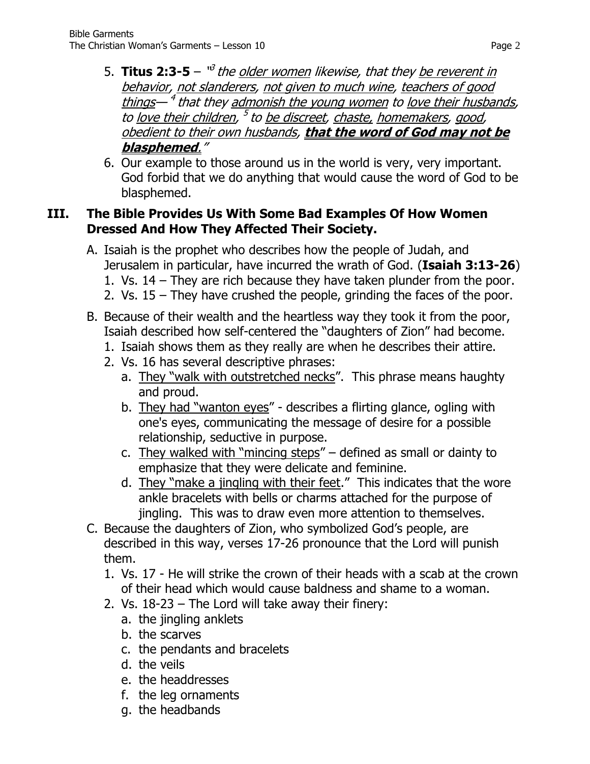- 5. **Titus 2:3-5** <sup>v3</sup> the <u>older women</u> likewise, that they <u>be reverent in</u> behavior, not slanderers, not given to much wine, teachers of good things—<sup>4</sup> that they <u>admonish the young women</u> to <u>love their husbands</u>, to <u>love their children</u>, <sup>5</sup> to <u>be discreet, chaste, homemakers</u>, good, obedient to their own husbands, **that the word of God may not be blasphemed**."
- 6. Our example to those around us in the world is very, very important. God forbid that we do anything that would cause the word of God to be blasphemed.

### **III. The Bible Provides Us With Some Bad Examples Of How Women Dressed And How They Affected Their Society.**

- A. Isaiah is the prophet who describes how the people of Judah, and Jerusalem in particular, have incurred the wrath of God. (**Isaiah 3:13-26**)
	- 1. Vs. 14 They are rich because they have taken plunder from the poor.
	- 2. Vs. 15 They have crushed the people, grinding the faces of the poor.
- B. Because of their wealth and the heartless way they took it from the poor, Isaiah described how self-centered the "daughters of Zion" had become.
	- 1. Isaiah shows them as they really are when he describes their attire.
	- 2. Vs. 16 has several descriptive phrases:
		- a. They "walk with outstretched necks". This phrase means haughty and proud.
		- b. They had "wanton eyes" describes a flirting glance, ogling with one's eyes, communicating the message of desire for a possible relationship, seductive in purpose.
		- c. They walked with "mincing steps" defined as small or dainty to emphasize that they were delicate and feminine.
		- d. They "make a jingling with their feet." This indicates that the wore ankle bracelets with bells or charms attached for the purpose of jingling. This was to draw even more attention to themselves.
- C. Because the daughters of Zion, who symbolized God's people, are described in this way, verses 17-26 pronounce that the Lord will punish them.
	- 1. Vs. 17 He will strike the crown of their heads with a scab at the crown of their head which would cause baldness and shame to a woman.
	- 2. Vs. 18-23 The Lord will take away their finery:
		- a. the jingling anklets
		- b. the scarves
		- c. the pendants and bracelets
		- d. the veils
		- e. the headdresses
		- f. the leg ornaments
		- g. the headbands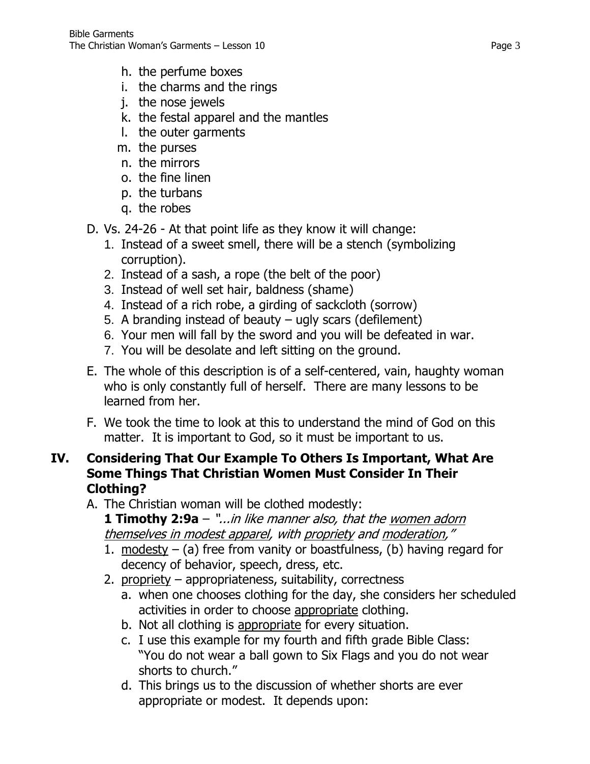- h. the perfume boxes
- i. the charms and the rings
- j. the nose jewels
- k. the festal apparel and the mantles
- l. the outer garments
- m. the purses
- n. the mirrors
- o. the fine linen
- p. the turbans
- q. the robes
- D. Vs. 24-26 At that point life as they know it will change:
	- 1. Instead of a sweet smell, there will be a stench (symbolizing corruption).
	- 2. Instead of a sash, a rope (the belt of the poor)
	- 3. Instead of well set hair, baldness (shame)
	- 4. Instead of a rich robe, a girding of sackcloth (sorrow)
	- 5. A branding instead of beauty ugly scars (defilement)
	- 6. Your men will fall by the sword and you will be defeated in war.
	- 7. You will be desolate and left sitting on the ground.
- E. The whole of this description is of a self-centered, vain, haughty woman who is only constantly full of herself. There are many lessons to be learned from her.
- F. We took the time to look at this to understand the mind of God on this matter. It is important to God, so it must be important to us.

### **IV. Considering That Our Example To Others Is Important, What Are Some Things That Christian Women Must Consider In Their Clothing?**

A. The Christian woman will be clothed modestly:

**1 Timothy 2:9a** – "...in like manner also, that the women adorn themselves in modest apparel, with propriety and moderation,"

- 1. modesty (a) free from vanity or boastfulness, (b) having regard for decency of behavior, speech, dress, etc.
- 2. propriety appropriateness, suitability, correctness
	- a. when one chooses clothing for the day, she considers her scheduled activities in order to choose appropriate clothing.
	- b. Not all clothing is appropriate for every situation.
	- c. I use this example for my fourth and fifth grade Bible Class: "You do not wear a ball gown to Six Flags and you do not wear shorts to church."
	- d. This brings us to the discussion of whether shorts are ever appropriate or modest. It depends upon: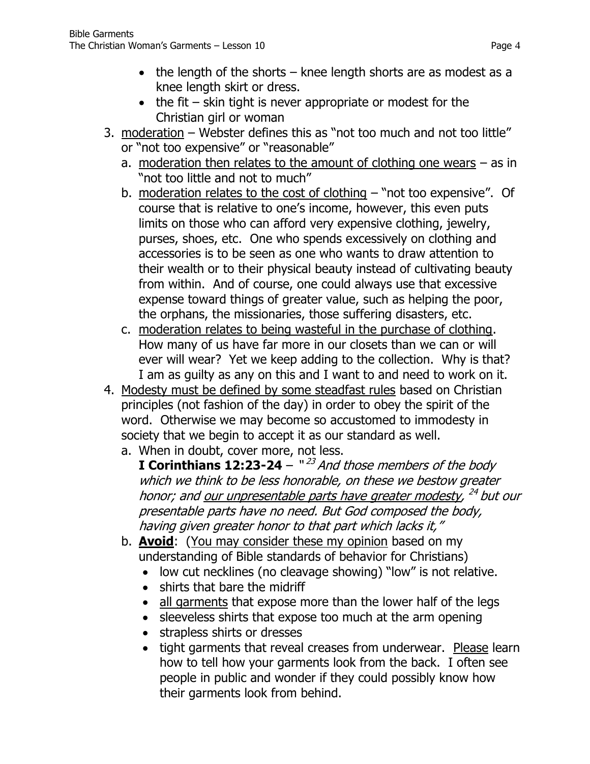- the length of the shorts  $-$  knee length shorts are as modest as a knee length skirt or dress.
- $\bullet$  the fit skin tight is never appropriate or modest for the Christian girl or woman
- 3. moderation Webster defines this as "not too much and not too little" or "not too expensive" or "reasonable"
	- a. moderation then relates to the amount of clothing one wears as in "not too little and not to much"
	- b. moderation relates to the cost of clothing "not too expensive". Of course that is relative to one's income, however, this even puts limits on those who can afford very expensive clothing, jewelry, purses, shoes, etc. One who spends excessively on clothing and accessories is to be seen as one who wants to draw attention to their wealth or to their physical beauty instead of cultivating beauty from within. And of course, one could always use that excessive expense toward things of greater value, such as helping the poor, the orphans, the missionaries, those suffering disasters, etc.
	- c. moderation relates to being wasteful in the purchase of clothing. How many of us have far more in our closets than we can or will ever will wear? Yet we keep adding to the collection. Why is that? I am as guilty as any on this and I want to and need to work on it.
- 4. Modesty must be defined by some steadfast rules based on Christian principles (not fashion of the day) in order to obey the spirit of the word. Otherwise we may become so accustomed to immodesty in society that we begin to accept it as our standard as well.
	- a. When in doubt, cover more, not less. **I Corinthians 12:23-24** – "<sup>23</sup> And those members of the body which we think to be less honorable, on these we bestow greater honor; and <u>our unpresentable parts have greater modesty</u>, <sup>24</sup> but our presentable parts have no need. But God composed the body, having given greater honor to that part which lacks it,"
	- b. **Avoid**: (You may consider these my opinion based on my understanding of Bible standards of behavior for Christians)
		- low cut necklines (no cleavage showing) "low" is not relative.
		- shirts that bare the midriff
		- all garments that expose more than the lower half of the legs
		- sleeveless shirts that expose too much at the arm opening
		- strapless shirts or dresses
		- tight garments that reveal creases from underwear. Please learn how to tell how your garments look from the back. I often see people in public and wonder if they could possibly know how their garments look from behind.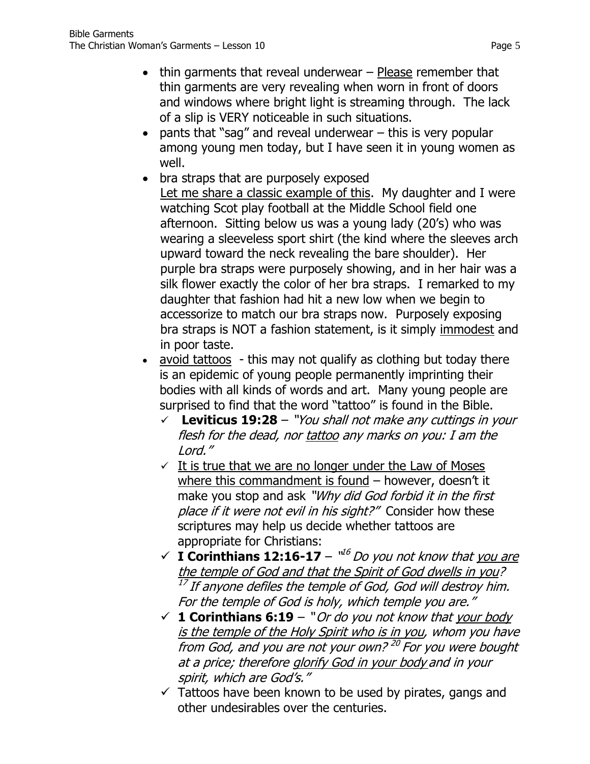- thin garments that reveal underwear Please remember that thin garments are very revealing when worn in front of doors and windows where bright light is streaming through. The lack of a slip is VERY noticeable in such situations.
- $\bullet$  pants that "sag" and reveal underwear  $-$  this is very popular among young men today, but I have seen it in young women as well.
- bra straps that are purposely exposed Let me share a classic example of this. My daughter and I were watching Scot play football at the Middle School field one afternoon. Sitting below us was a young lady (20's) who was wearing a sleeveless sport shirt (the kind where the sleeves arch upward toward the neck revealing the bare shoulder). Her purple bra straps were purposely showing, and in her hair was a silk flower exactly the color of her bra straps. I remarked to my daughter that fashion had hit a new low when we begin to accessorize to match our bra straps now. Purposely exposing bra straps is NOT a fashion statement, is it simply immodest and in poor taste.
- avoid tattoos this may not qualify as clothing but today there is an epidemic of young people permanently imprinting their bodies with all kinds of words and art. Many young people are surprised to find that the word "tattoo" is found in the Bible.
	- **[Leviticus 19:28](http://www.biblegateway.com/passage/?search=Leviticus+19:28&version=NKJV)** "You shall not make any cuttings in your flesh for the dead, nor tattoo any marks on you: I am the Lord."
	- $\checkmark$  It is true that we are no longer under the Law of Moses where this commandment is found – however, doesn't it make you stop and ask "Why did God forbid it in the first place if it were not evil in his sight?" Consider how these scriptures may help us decide whether tattoos are appropriate for Christians:
	- $\checkmark$  **I Corinthians 12:16-17**  $\check{u}^6$  *Do you not know that you are* the temple of God and that the Spirit of God dwells in you?  $^{17}$  If anyone defiles the temple of God, God will destroy him. For the temple of God is holy, which temple you are."
	- $\checkmark$  **1 Corinthians 6:19** "Or do you not know that your body is the temple of the Holy Spirit who is in you, whom you have from God, and you are not your own? <sup>20</sup> For you were bought at a price; therefore glorify God in your body and in your spirit, which are God's."
	- $\checkmark$  Tattoos have been known to be used by pirates, gangs and other undesirables over the centuries.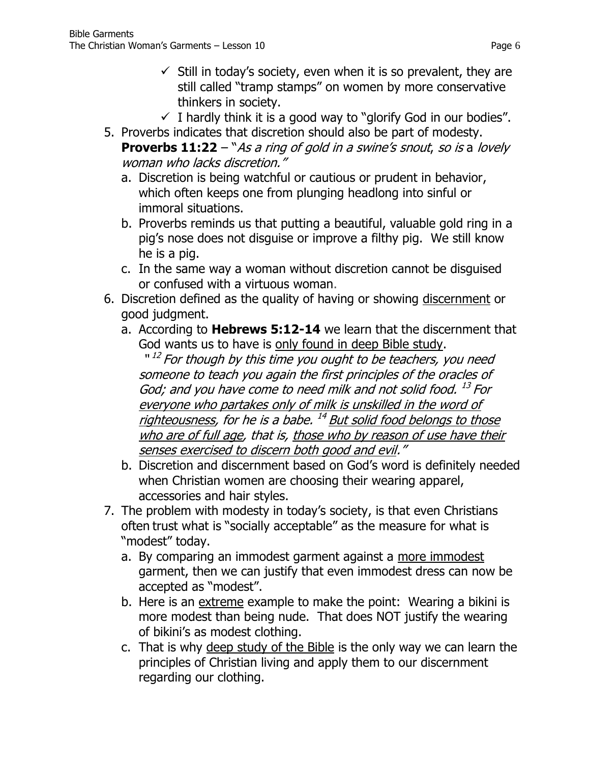- $\checkmark$  Still in today's society, even when it is so prevalent, they are still called "tramp stamps" on women by more conservative thinkers in society.
- $\checkmark$  I hardly think it is a good way to "glorify God in our bodies".
- 5. Proverbs indicates that discretion should also be part of modesty. **[Proverbs 11:22](http://www.biblegateway.com/passage/?search=Proverbs+11:22&version=NKJV)** – "As a ring of gold in a swine's snout, so is a lovely woman who lacks discretion."
	- a. Discretion is being watchful or cautious or prudent in behavior, which often keeps one from plunging headlong into sinful or immoral situations.
	- b. Proverbs reminds us that putting a beautiful, valuable gold ring in a pig's nose does not disguise or improve a filthy pig. We still know he is a pig.
	- c. In the same way a woman without discretion cannot be disguised or confused with a virtuous woman.
- 6. Discretion defined as the quality of having or showing [discernment](http://www.merriam-webster.com/dictionary/discernment) or good judgment.
	- a. According to **Hebrews 5:12-14** we learn that the discernment that God wants us to have is only found in deep Bible study.

"<sup>12</sup> For though by this time you ought to be teachers, you need someone to teach you again the first principles of the oracles of God; and you have come to need milk and not solid food. <sup>13</sup> For everyone who partakes only of milk is unskilled in the word of righteousness, for he is a babe. <sup>14</sup> But solid food belongs to those who are of full age, that is, those who by reason of use have their senses exercised to discern both good and evil."

- b. Discretion and discernment based on God's word is definitely needed when Christian women are choosing their wearing apparel, accessories and hair styles.
- 7. The problem with modesty in today's society, is that even Christians often trust what is "socially acceptable" as the measure for what is "modest" today.
	- a. By comparing an immodest garment against a more immodest garment, then we can justify that even immodest dress can now be accepted as "modest".
	- b. Here is an extreme example to make the point: Wearing a bikini is more modest than being nude. That does NOT justify the wearing of bikini's as modest clothing.
	- c. That is why deep study of the Bible is the only way we can learn the principles of Christian living and apply them to our discernment regarding our clothing.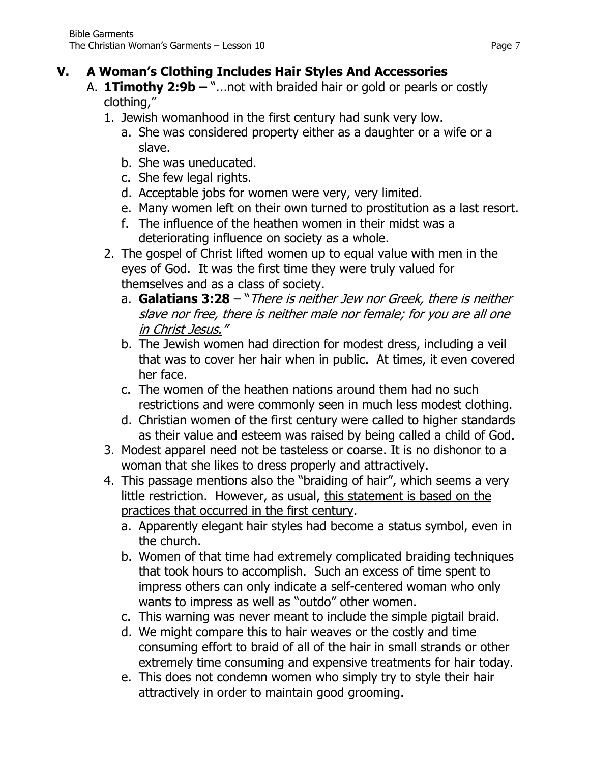## **V. A Woman's Clothing Includes Hair Styles And Accessories**

- A. **1Timothy 2:9b –** "...not with braided hair or gold or pearls or costly clothing,"
	- 1. Jewish womanhood in the first century had sunk very low.
		- a. She was considered property either as a daughter or a wife or a slave.
		- b. She was uneducated.
		- c. She few legal rights.
		- d. Acceptable jobs for women were very, very limited.
		- e. Many women left on their own turned to prostitution as a last resort.
		- f. The influence of the heathen women in their midst was a deteriorating influence on society as a whole.
	- 2. The gospel of Christ lifted women up to equal value with men in the eyes of God. It was the first time they were truly valued for themselves and as a class of society.
		- a. **[Galatians 3:28](http://www.biblegateway.com/passage/?search=Galatians+3:28&version=NKJV)** "There is neither Jew nor Greek, there is neither slave nor free, there is neither male nor female; for you are all one in Christ Jesus."
		- b. The Jewish women had direction for modest dress, including a veil that was to cover her hair when in public. At times, it even covered her face.
		- c. The women of the heathen nations around them had no such restrictions and were commonly seen in much less modest clothing.
		- d. Christian women of the first century were called to higher standards as their value and esteem was raised by being called a child of God.
	- 3. Modest apparel need not be tasteless or coarse. It is no dishonor to a woman that she likes to dress properly and attractively.
	- 4. This passage mentions also the "braiding of hair", which seems a very little restriction. However, as usual, this statement is based on the practices that occurred in the first century.
		- a. Apparently elegant hair styles had become a status symbol, even in the church.
		- b. Women of that time had extremely complicated braiding techniques that took hours to accomplish. Such an excess of time spent to impress others can only indicate a self-centered woman who only wants to impress as well as "outdo" other women.
		- c. This warning was never meant to include the simple pigtail braid.
		- d. We might compare this to hair weaves or the costly and time consuming effort to braid of all of the hair in small strands or other extremely time consuming and expensive treatments for hair today.
		- e. This does not condemn women who simply try to style their hair attractively in order to maintain good grooming.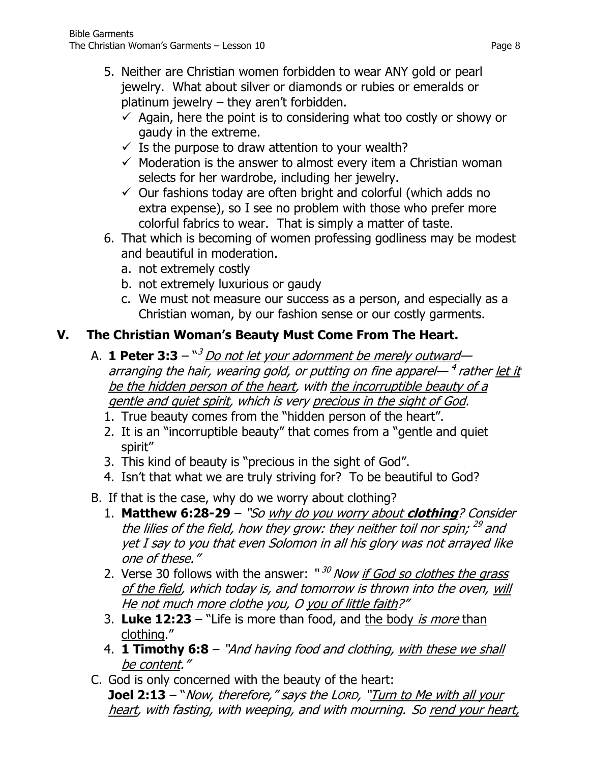- 5. Neither are Christian women forbidden to wear ANY gold or pearl jewelry. What about silver or diamonds or rubies or emeralds or platinum jewelry – they aren't forbidden.
	- $\checkmark$  Again, here the point is to considering what too costly or showy or gaudy in the extreme.
	- $\checkmark$  Is the purpose to draw attention to your wealth?
	- $\checkmark$  Moderation is the answer to almost every item a Christian woman selects for her wardrobe, including her jewelry.
	- $\checkmark$  Our fashions today are often bright and colorful (which adds no extra expense), so I see no problem with those who prefer more colorful fabrics to wear. That is simply a matter of taste.
- 6. That which is becoming of women professing godliness may be modest and beautiful in moderation.
	- a. not extremely costly
	- b. not extremely luxurious or gaudy
	- c. We must not measure our success as a person, and especially as a Christian woman, by our fashion sense or our costly garments.

## **V. The Christian Woman's Beauty Must Come From The Heart.**

- A. **1 Peter 3:3** " <sup>3</sup> Do not let your adornment be merely outward arranging the hair, wearing gold, or putting on fine apparel— <sup>4</sup> rather <u>let it</u> be the hidden person of the heart, with the incorruptible beauty of a gentle and quiet spirit, which is very precious in the sight of God.
	- 1. True beauty comes from the "hidden person of the heart".
	- 2. It is an "incorruptible beauty" that comes from a "gentle and quiet spirit"
	- 3. This kind of beauty is "precious in the sight of God".
	- 4. Isn't that what we are truly striving for? To be beautiful to God?
- B. If that is the case, why do we worry about clothing?
	- 1. **Matthew 6:28-29** "So why do you worry about **clothing**? Consider the lilies of the field, how they grow: they neither toil nor spin; <sup>29</sup> and yet I say to you that even Solomon in all his glory was not arrayed like one of these."
	- 2. Verse 30 follows with the answer: "<sup>30</sup> Now <u>if God so clothes the grass</u> of the field, which today is, and tomorrow is thrown into the oven, will He not much more clothe you, O you of little faith?"
	- 3. **[Luke 12:23](http://www.biblegateway.com/passage/?search=Luke+12:23&version=NKJV)** "Life is more than food, and the body is more than clothing."
	- 4. **[1 Timothy 6:8](http://www.biblegateway.com/passage/?search=1%20Timothy+6:8&version=NKJV)** "And having food and clothing, with these we shall be content."
- C. God is only concerned with the beauty of the heart: **[Joel 2:13](http://www.biblegateway.com/passage/?search=Joel+2:13&version=NKJV)** – "Now, therefore," says the LORD, "Turn to Me with all your heart, with fasting, with weeping, and with mourning. So rend your heart,